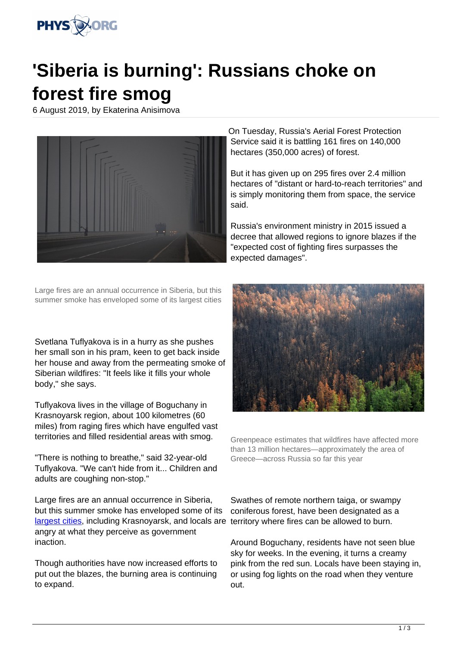

## **'Siberia is burning': Russians choke on forest fire smog**

6 August 2019, by Ekaterina Anisimova



Large fires are an annual occurrence in Siberia, but this summer smoke has enveloped some of its largest cities

Svetlana Tuflyakova is in a hurry as she pushes her small son in his pram, keen to get back inside her house and away from the permeating smoke of Siberian wildfires: "It feels like it fills your whole body," she says.

Tuflyakova lives in the village of Boguchany in Krasnoyarsk region, about 100 kilometres (60 miles) from raging fires which have engulfed vast territories and filled residential areas with smog.

"There is nothing to breathe," said 32-year-old Tuflyakova. "We can't hide from it... Children and adults are coughing non-stop."

Large fires are an annual occurrence in Siberia, but this summer smoke has enveloped some of its [largest cities](https://phys.org/tags/largest+cities/), including Krasnoyarsk, and locals are territory where fires can be allowed to burn. angry at what they perceive as government inaction.

Though authorities have now increased efforts to put out the blazes, the burning area is continuing to expand.

On Tuesday, Russia's Aerial Forest Protection Service said it is battling 161 fires on 140,000 hectares (350,000 acres) of forest.

But it has given up on 295 fires over 2.4 million hectares of "distant or hard-to-reach territories" and is simply monitoring them from space, the service said.

Russia's environment ministry in 2015 issued a decree that allowed regions to ignore blazes if the "expected cost of fighting fires surpasses the expected damages".



Greenpeace estimates that wildfires have affected more than 13 million hectares—approximately the area of Greece—across Russia so far this year

Swathes of remote northern taiga, or swampy coniferous forest, have been designated as a

Around Boguchany, residents have not seen blue sky for weeks. In the evening, it turns a creamy pink from the red sun. Locals have been staying in, or using fog lights on the road when they venture out.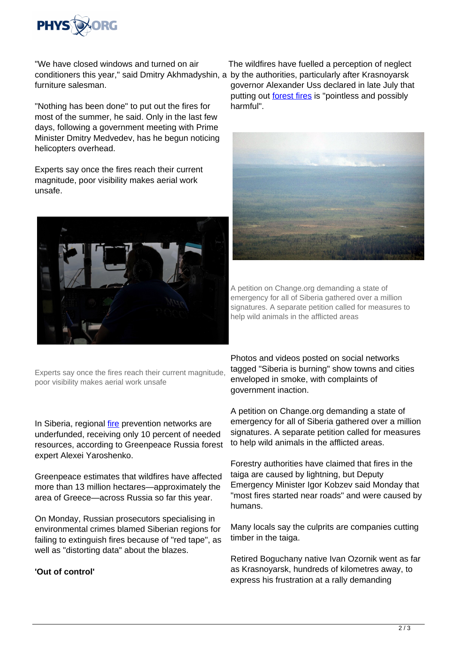

"We have closed windows and turned on air conditioners this year," said Dmitry Akhmadyshin, a by the authorities, particularly after Krasnoyarsk furniture salesman.

"Nothing has been done" to put out the fires for most of the summer, he said. Only in the last few days, following a government meeting with Prime Minister Dmitry Medvedev, has he begun noticing helicopters overhead.

Experts say once the fires reach their current magnitude, poor visibility makes aerial work unsafe.



Experts say once the fires reach their current magnitude, poor visibility makes aerial work unsafe

In Siberia, regional [fire](https://phys.org/tags/fire/) prevention networks are underfunded, receiving only 10 percent of needed resources, according to Greenpeace Russia forest expert Alexei Yaroshenko.

Greenpeace estimates that wildfires have affected more than 13 million hectares—approximately the area of Greece—across Russia so far this year.

On Monday, Russian prosecutors specialising in environmental crimes blamed Siberian regions for failing to extinguish fires because of "red tape", as well as "distorting data" about the blazes.

## **'Out of control'**

The wildfires have fuelled a perception of neglect governor Alexander Uss declared in late July that putting out [forest fires](https://phys.org/tags/forest+fires/) is "pointless and possibly harmful".



A petition on Change.org demanding a state of emergency for all of Siberia gathered over a million signatures. A separate petition called for measures to help wild animals in the afflicted areas

Photos and videos posted on social networks tagged "Siberia is burning" show towns and cities enveloped in smoke, with complaints of government inaction.

A petition on Change.org demanding a state of emergency for all of Siberia gathered over a million signatures. A separate petition called for measures to help wild animals in the afflicted areas.

Forestry authorities have claimed that fires in the taiga are caused by lightning, but Deputy Emergency Minister Igor Kobzev said Monday that "most fires started near roads" and were caused by humans.

Many locals say the culprits are companies cutting timber in the taiga.

Retired Boguchany native Ivan Ozornik went as far as Krasnoyarsk, hundreds of kilometres away, to express his frustration at a rally demanding